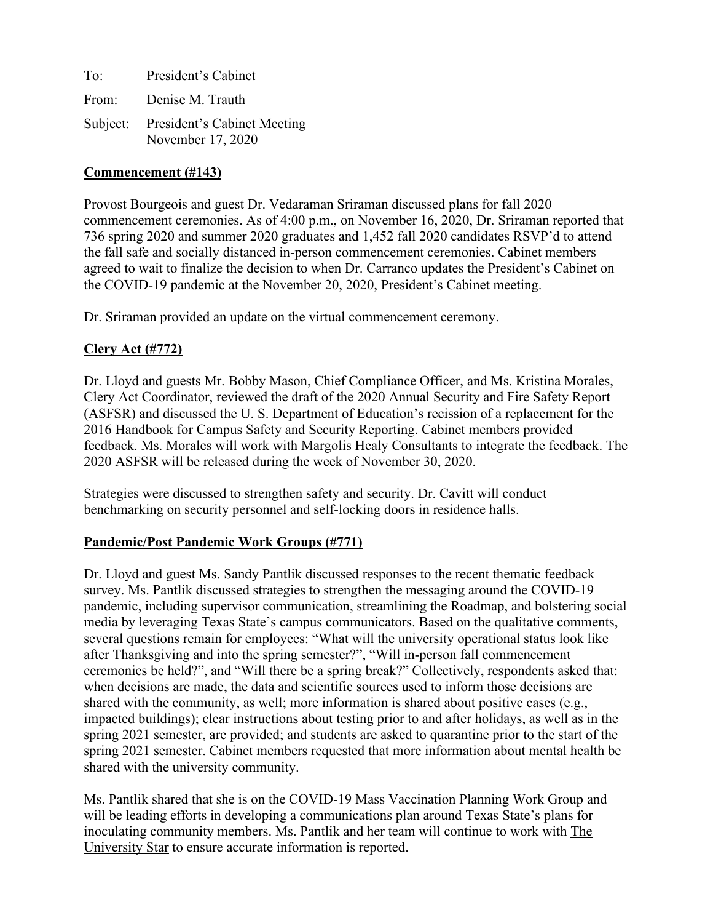To: President's Cabinet From: Denise M. Trauth Subject: President's Cabinet Meeting November 17, 2020

## **Commencement (#143)**

Provost Bourgeois and guest Dr. Vedaraman Sriraman discussed plans for fall 2020 commencement ceremonies. As of 4:00 p.m., on November 16, 2020, Dr. Sriraman reported that 736 spring 2020 and summer 2020 graduates and 1,452 fall 2020 candidates RSVP'd to attend the fall safe and socially distanced in-person commencement ceremonies. Cabinet members agreed to wait to finalize the decision to when Dr. Carranco updates the President's Cabinet on the COVID-19 pandemic at the November 20, 2020, President's Cabinet meeting.

Dr. Sriraman provided an update on the virtual commencement ceremony.

# **Clery Act (#772)**

Dr. Lloyd and guests Mr. Bobby Mason, Chief Compliance Officer, and Ms. Kristina Morales, Clery Act Coordinator, reviewed the draft of the 2020 Annual Security and Fire Safety Report (ASFSR) and discussed the U. S. Department of Education's recission of a replacement for the 2016 Handbook for Campus Safety and Security Reporting. Cabinet members provided feedback. Ms. Morales will work with Margolis Healy Consultants to integrate the feedback. The 2020 ASFSR will be released during the week of November 30, 2020.

Strategies were discussed to strengthen safety and security. Dr. Cavitt will conduct benchmarking on security personnel and self-locking doors in residence halls.

# **Pandemic/Post Pandemic Work Groups (#771)**

Dr. Lloyd and guest Ms. Sandy Pantlik discussed responses to the recent thematic feedback survey. Ms. Pantlik discussed strategies to strengthen the messaging around the COVID-19 pandemic, including supervisor communication, streamlining the Roadmap, and bolstering social media by leveraging Texas State's campus communicators. Based on the qualitative comments, several questions remain for employees: "What will the university operational status look like after Thanksgiving and into the spring semester?", "Will in-person fall commencement ceremonies be held?", and "Will there be a spring break?" Collectively, respondents asked that: when decisions are made, the data and scientific sources used to inform those decisions are shared with the community, as well; more information is shared about positive cases (e.g., impacted buildings); clear instructions about testing prior to and after holidays, as well as in the spring 2021 semester, are provided; and students are asked to quarantine prior to the start of the spring 2021 semester. Cabinet members requested that more information about mental health be shared with the university community.

Ms. Pantlik shared that she is on the COVID-19 Mass Vaccination Planning Work Group and will be leading efforts in developing a communications plan around Texas State's plans for inoculating community members. Ms. Pantlik and her team will continue to work with The University Star to ensure accurate information is reported.